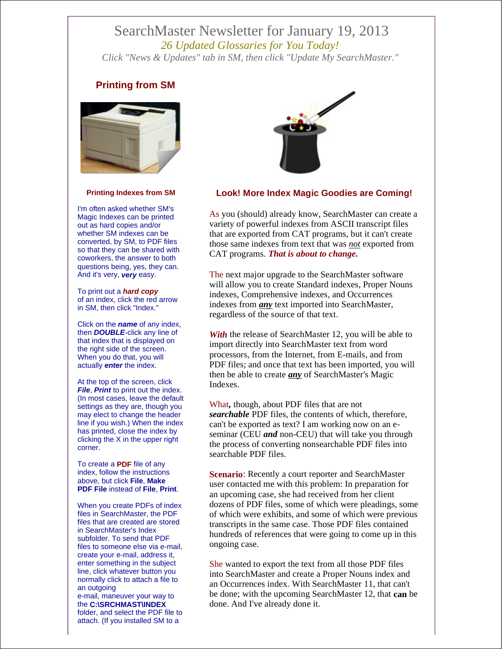# SearchMaster Newsletter for January 19, 2013 *26 Updated Glossaries for You Today!*

*Click "News & Updates" tab in SM, then click "Update My SearchMaster."*

# **Printing from SM**



#### **Printing Indexes from SM**

I'm often asked whether SM's Magic Indexes can be printed out as hard copies and/or whether SM indexes can be converted, by SM, to PDF files so that they can be shared with coworkers, the answer to both questions being, yes, they can. And it's very, *very* easy.

To print out a *hard copy* of an index, click the red arrow in SM, then click "Index."

Click on the *name* of any index, then *DOUBLE*-click any line of that index that is displayed on the right side of the screen. When you do that, you will actually *enter* the index.

At the top of the screen, click *File*, *Print* to print out the index. (In most cases, leave the default settings as they are, though you may elect to change the header line if you wish.) When the index has printed, close the index by clicking the X in the upper right corner.

To create a **PDF** file of any index, follow the instructions above, but click **File**, **Make PDF File** instead of **File**, **Print**.

When you create PDFs of index files in SearchMaster, the PDF files that are created are stored in SearchMaster's Index subfolder. To send that PDF files to someone else via e-mail, create your e-mail, address it, enter something in the subject line, click whatever button you normally click to attach a file to an outgoing e-mail, maneuver your way to

the **C:\SRCHMAST\INDEX** folder, and select the PDF file to attach. (If you installed SM to a



### **Look! More Index Magic Goodies are Coming!**

As you (should) already know, SearchMaster can create a variety of powerful indexes from ASCII transcript files that are exported from CAT programs, but it can't create those same indexes from text that was *not* exported from CAT programs. *That is about to change.* 

The next major upgrade to the SearchMaster software will allow you to create Standard indexes, Proper Nouns indexes, Comprehensive indexes, and Occurrences indexes from *any* text imported into SearchMaster, regardless of the source of that text.

*With* the release of SearchMaster 12, you will be able to import directly into SearchMaster text from word processors, from the Internet, from E-mails, and from PDF files; and once that text has been imported, you will then be able to create *any* of SearchMaster's Magic Indexes.

What*,* though, about PDF files that are not *searchable* PDF files, the contents of which, therefore, can't be exported as text? I am working now on an eseminar (CEU *and* non-CEU) that will take you through the process of converting nonsearchable PDF files into searchable PDF files.

**Scenario**: Recently a court reporter and SearchMaster user contacted me with this problem: In preparation for an upcoming case, she had received from her client dozens of PDF files, some of which were pleadings, some of which were exhibits, and some of which were previous transcripts in the same case. Those PDF files contained hundreds of references that were going to come up in this ongoing case.

She wanted to export the text from all those PDF files into SearchMaster and create a Proper Nouns index and an Occurrences index. With SearchMaster 11, that can't be done; with the upcoming SearchMaster 12, that **can** be done. And I've already done it.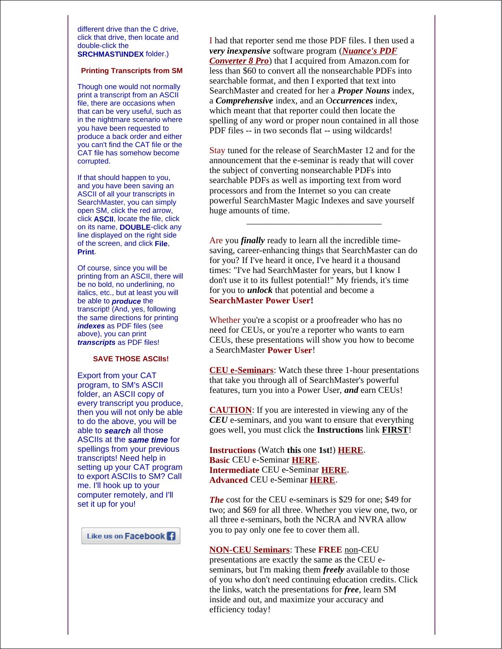different drive than the C drive, click that drive, then locate and double-click the **SRCHMAST\INDEX** folder.)

#### **Printing Transcripts from SM**

Though one would not normally print a transcript from an ASCII file, there are occasions when that can be very useful, such as in the nightmare scenario where you have been requested to produce a back order and either you can't find the CAT file or the CAT file has somehow become corrupted.

If that should happen to you, and you have been saving an ASCII of all your transcripts in SearchMaster, you can simply open SM, click the red arrow, click **ASCII**, locate the file, click on its name, **DOUBLE**-click any line displayed on the right side of the screen, and click **File**, **Print**.

Of course, since you will be printing from an ASCII, there will be no bold, no underlining, no italics, etc., but at least you will be able to *produce* the transcript! (And, yes, following the same directions for printing *indexes* as PDF files (see above), you can print *transcripts* as PDF files!

#### **SAVE THOSE ASCIIs!**

Export from your CAT program, to SM's ASCII folder, an ASCII copy of every transcript you produce, then you will not only be able to do the above, you will be able to *search* all those ASCIIs at the *same time* for spellings from your previous transcripts! Need help in setting up your CAT program to export ASCIIs to SM? Call me. I'll hook up to your computer remotely, and I'll set it up for you!

Like us on Facebook +

I had that reporter send me those PDF files. I then used a *very inexpensive* software program (*Nuance's PDF Converter 8 Pro*) that I acquired from Amazon.com for less than \$60 to convert all the nonsearchable PDFs into searchable format, and then I exported that text into SearchMaster and created for her a *Proper Nouns* index, a *Comprehensive* index, and an O*ccurrences* index, which meant that that reporter could then locate the spelling of any word or proper noun contained in all those PDF files -- in two seconds flat -- using wildcards!

Stay tuned for the release of SearchMaster 12 and for the announcement that the e-seminar is ready that will cover the subject of converting nonsearchable PDFs into searchable PDFs as well as importing text from word processors and from the Internet so you can create powerful SearchMaster Magic Indexes and save yourself huge amounts of time.

\_\_\_\_\_\_\_\_\_\_\_\_\_\_\_\_\_\_\_\_\_\_\_\_\_\_\_\_\_\_

Are you *finally* ready to learn all the incredible timesaving, career-enhancing things that SearchMaster can do for you? If I've heard it once, I've heard it a thousand times: "I've had SearchMaster for years, but I know I don't use it to its fullest potential!" My friends, it's time for you to *unlock* that potential and become a **SearchMaster Power User!**

Whether you're a scopist or a proofreader who has no need for CEUs, or you're a reporter who wants to earn CEUs, these presentations will show you how to become a SearchMaster **Power User**!

**CEU e-Seminars**: Watch these three 1-hour presentations that take you through all of SearchMaster's powerful features, turn you into a Power User, *and* earn CEUs!

**CAUTION**: If you are interested in viewing any of the *CEU* e-seminars, and you want to ensure that everything goes well, you must click the **Instructions** link **FIRST**!

**Instructions** (Watch **this** one **1st!**) **HERE**. **Basic** CEU e-Seminar **HERE**. **Intermediate** CEU e-Seminar **HERE**. **Advanced** CEU e-Seminar **HERE**.

*The* cost for the CEU e-seminars is \$29 for one; \$49 for two; and \$69 for all three. Whether you view one, two, or all three e-seminars, both the NCRA and NVRA allow you to pay only one fee to cover them all.

# **NON-CEU Seminars**: These **FREE** non-CEU

presentations are exactly the same as the CEU eseminars, but I'm making them *freely* available to those of you who don't need continuing education credits. Click the links, watch the presentations for *free*, learn SM inside and out, and maximize your accuracy and efficiency today!